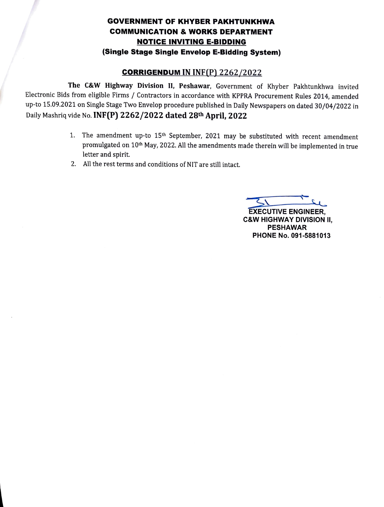## GOVERNMENT OF KHYBER PAKHTUNKHWA COMMUNICATION & wORKS DEPARTMENT NOTICE INVITING E-BIDDING (Single Stage Single Envelop E-Bidding System)

## cORRIGENDUM IN INE(P) 2262/2022

The C&W Highway Division II, Peshawar, Government of Khyber Pakhtunkhwa invited Electronic Bids from eligible Firms/ Contractors in accordance with KPPRA Procurement Rules 2014, amended up-to 15.09.2021 on Single Stage Two Envelop procedure published in Daily Newspapers on dated 30/04/2022 in Daily Mashriq vide No. INF(P) 2262/2022 dated 28th April, 2022

- 1. The amendment up-to  $15<sup>th</sup>$  September, 2021 may be substituted with recent amendment promulgated on 10th May, 2022. All the amendments made therein will be implemented in true letter and spirit.
- 2. All the rest terms and conditions of NIT are still intact.

EXECUTIVE ENGINEER, C&W HIGHWAY DIVISION I, PESHAWAR PHONE No. 091-5881013